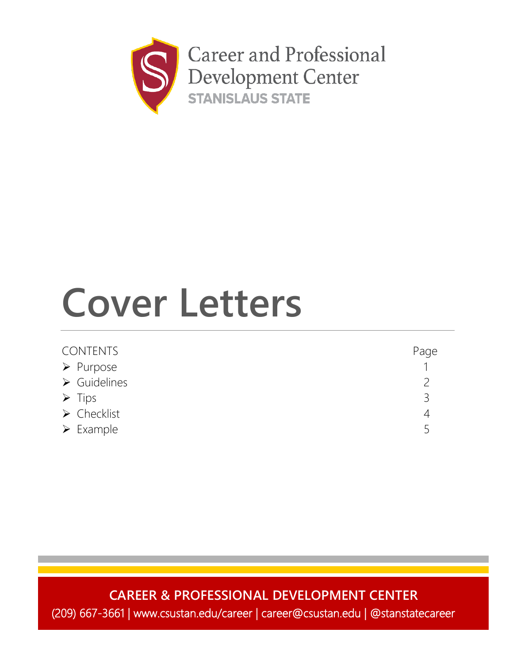

# **Cover Letters**

| <b>CONTENTS</b>             | Page |
|-----------------------------|------|
| $\triangleright$ Purpose    |      |
| $\triangleright$ Guidelines |      |
| $\triangleright$ Tips       | ς    |
| $\triangleright$ Checklist  |      |
| $\triangleright$ Example    |      |

### **CAREER & PROFESSIONAL DEVELOPMENT CENTER**

(209) 667-3661 | www.csustan.edu/career | career@csustan.edu | @stanstatecareer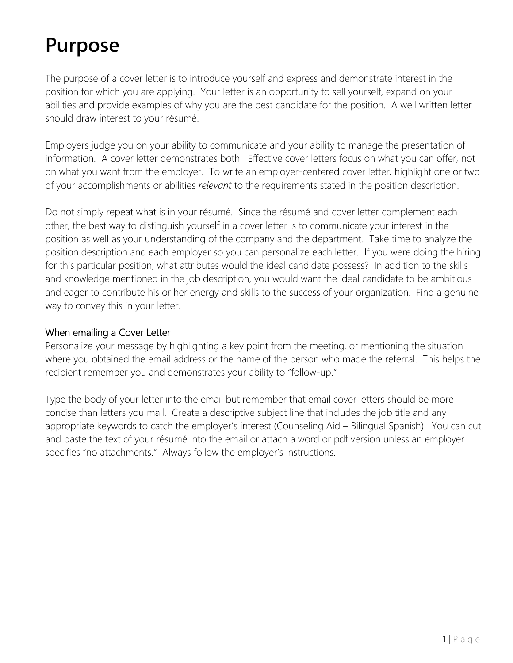## **Purpose**

The purpose of a cover letter is to introduce yourself and express and demonstrate interest in the position for which you are applying. Your letter is an opportunity to sell yourself, expand on your abilities and provide examples of why you are the best candidate for the position. A well written letter should draw interest to your résumé.

Employers judge you on your ability to communicate and your ability to manage the presentation of information. A cover letter demonstrates both. Effective cover letters focus on what you can offer, not on what you want from the employer. To write an employer-centered cover letter, highlight one or two of your accomplishments or abilities *relevant* to the requirements stated in the position description.

Do not simply repeat what is in your résumé. Since the résumé and cover letter complement each other, the best way to distinguish yourself in a cover letter is to communicate your interest in the position as well as your understanding of the company and the department. Take time to analyze the position description and each employer so you can personalize each letter. If you were doing the hiring for this particular position, what attributes would the ideal candidate possess? In addition to the skills and knowledge mentioned in the job description, you would want the ideal candidate to be ambitious and eager to contribute his or her energy and skills to the success of your organization. Find a genuine way to convey this in your letter.

#### When emailing a Cover Letter

Personalize your message by highlighting a key point from the meeting, or mentioning the situation where you obtained the email address or the name of the person who made the referral. This helps the recipient remember you and demonstrates your ability to "follow-up."

Type the body of your letter into the email but remember that email cover letters should be more concise than letters you mail. Create a descriptive subject line that includes the job title and any appropriate keywords to catch the employer's interest (Counseling Aid – Bilingual Spanish). You can cut and paste the text of your résumé into the email or attach a word or pdf version unless an employer specifies "no attachments." Always follow the employer's instructions.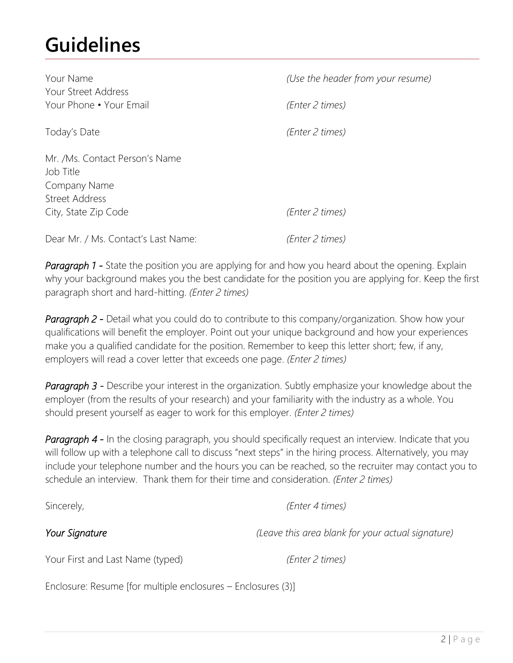### **Guidelines**

| Your Name<br>Your Street Address                                              | (Use the header from your resume) |
|-------------------------------------------------------------------------------|-----------------------------------|
| Your Phone • Your Email                                                       | (Enter 2 times)                   |
| Today's Date                                                                  | (Enter 2 times)                   |
| Mr. /Ms. Contact Person's Name<br>Job Title<br>Company Name<br>Street Address |                                   |
| City, State Zip Code                                                          | (Enter 2 times)                   |
| Dear Mr. / Ms. Contact's Last Name:                                           | (Enter 2 times)                   |

**Paragraph 1 -** State the position you are applying for and how you heard about the opening. Explain why your background makes you the best candidate for the position you are applying for. Keep the first paragraph short and hard-hitting. *(Enter 2 times)*

**Paragraph 2 -** Detail what you could do to contribute to this company/organization. Show how your qualifications will benefit the employer. Point out your unique background and how your experiences make you a qualified candidate for the position. Remember to keep this letter short; few, if any, employers will read a cover letter that exceeds one page. *(Enter 2 times)*

**Paragraph 3 -** Describe your interest in the organization. Subtly emphasize your knowledge about the employer (from the results of your research) and your familiarity with the industry as a whole. You should present yourself as eager to work for this employer. *(Enter 2 times)*

**Paragraph 4 -** In the closing paragraph, you should specifically request an interview. Indicate that you will follow up with a telephone call to discuss "next steps" in the hiring process. Alternatively, you may include your telephone number and the hours you can be reached, so the recruiter may contact you to schedule an interview. Thank them for their time and consideration. *(Enter 2 times)*

Sincerely, *(Enter 4 times)*

*Your Signature (Leave this area blank for your actual signature)*

Your First and Last Name (typed) *(Enter 2 times)*

Enclosure: Resume [for multiple enclosures – Enclosures (3)]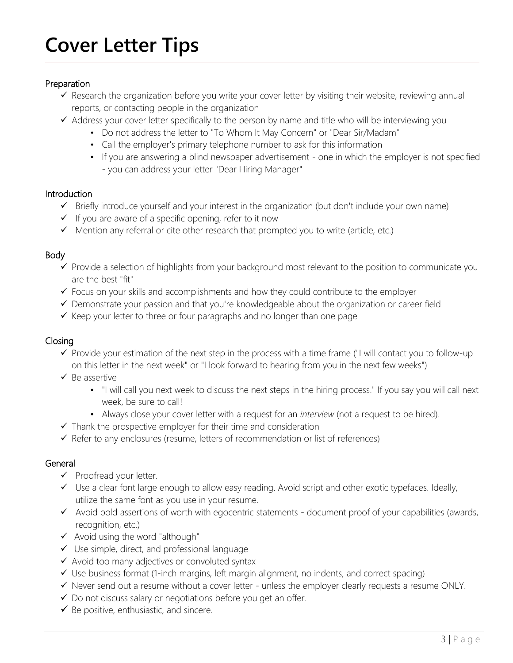## **Cover Letter Tips**

#### Preparation

- $\checkmark$  Research the organization before you write your cover letter by visiting their website, reviewing annual reports, or contacting people in the organization
- $\checkmark$  Address your cover letter specifically to the person by name and title who will be interviewing you
	- Do not address the letter to "To Whom It May Concern" or "Dear Sir/Madam"
	- Call the employer's primary telephone number to ask for this information
	- If you are answering a blind newspaper advertisement one in which the employer is not specified - you can address your letter "Dear Hiring Manager"

#### **Introduction**

- $\checkmark$  Briefly introduce yourself and your interest in the organization (but don't include your own name)
- $\checkmark$  If you are aware of a specific opening, refer to it now
- $\checkmark$  Mention any referral or cite other research that prompted you to write (article, etc.)

#### Body

- $\checkmark$  Provide a selection of highlights from your background most relevant to the position to communicate you are the best "fit"
- $\checkmark$  Focus on your skills and accomplishments and how they could contribute to the employer
- $\checkmark$  Demonstrate your passion and that you're knowledgeable about the organization or career field
- $\checkmark$  Keep your letter to three or four paragraphs and no longer than one page

#### Closing

- $\checkmark$  Provide your estimation of the next step in the process with a time frame ("I will contact you to follow-up on this letter in the next week" or "I look forward to hearing from you in the next few weeks")
- $\checkmark$  Be assertive
	- "I will call you next week to discuss the next steps in the hiring process." If you say you will call next week, be sure to call!
	- Always close your cover letter with a request for an *interview* (not a request to be hired).
- $\checkmark$  Thank the prospective employer for their time and consideration
- $\checkmark$  Refer to any enclosures (resume, letters of recommendation or list of references)

#### General

- $\checkmark$  Proofread your letter.
- Use a clear font large enough to allow easy reading. Avoid script and other exotic typefaces. Ideally, utilize the same font as you use in your resume.
- $\checkmark$  Avoid bold assertions of worth with egocentric statements document proof of your capabilities (awards, recognition, etc.)
- $\checkmark$  Avoid using the word "although"
- $\checkmark$  Use simple, direct, and professional language
- $\checkmark$  Avoid too many adjectives or convoluted syntax
- $\checkmark$  Use business format (1-inch margins, left margin alignment, no indents, and correct spacing)
- $\checkmark$  Never send out a resume without a cover letter unless the employer clearly requests a resume ONLY.
- $\checkmark$  Do not discuss salary or negotiations before you get an offer.
- $\checkmark$  Be positive, enthusiastic, and sincere.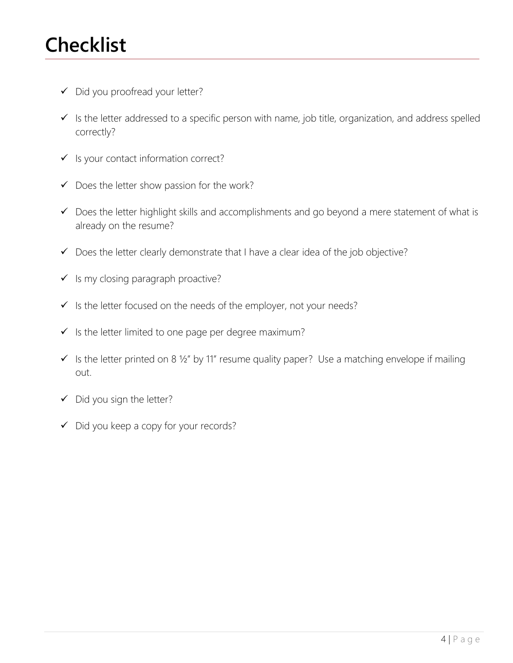### **Checklist**

- Did you proofread your letter?
- $\checkmark$  Is the letter addressed to a specific person with name, job title, organization, and address spelled correctly?
- $\checkmark$  Is your contact information correct?
- $\checkmark$  Does the letter show passion for the work?
- $\checkmark$  Does the letter highlight skills and accomplishments and go beyond a mere statement of what is already on the resume?
- $\checkmark$  Does the letter clearly demonstrate that I have a clear idea of the job objective?
- $\checkmark$  Is my closing paragraph proactive?
- $\checkmark$  is the letter focused on the needs of the employer, not your needs?
- $\checkmark$  Is the letter limited to one page per degree maximum?
- $\checkmark$  Is the letter printed on 8 1/2" by 11" resume quality paper? Use a matching envelope if mailing out.
- $\checkmark$  Did you sign the letter?
- $\checkmark$  Did you keep a copy for your records?